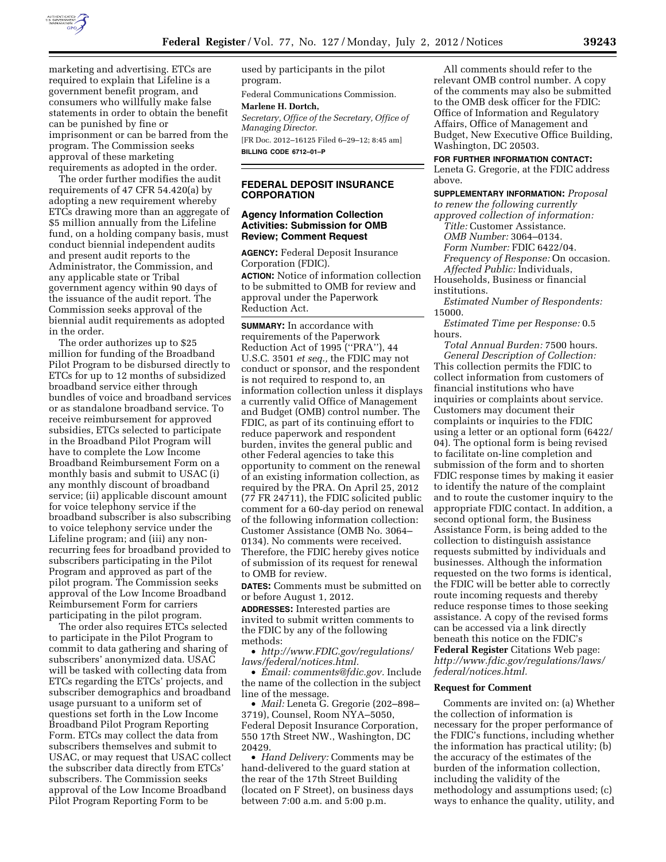

marketing and advertising. ETCs are required to explain that Lifeline is a government benefit program, and consumers who willfully make false statements in order to obtain the benefit can be punished by fine or imprisonment or can be barred from the program. The Commission seeks approval of these marketing requirements as adopted in the order.

The order further modifies the audit requirements of 47 CFR 54.420(a) by adopting a new requirement whereby ETCs drawing more than an aggregate of \$5 million annually from the Lifeline fund, on a holding company basis, must conduct biennial independent audits and present audit reports to the Administrator, the Commission, and any applicable state or Tribal government agency within 90 days of the issuance of the audit report. The Commission seeks approval of the biennial audit requirements as adopted in the order.

The order authorizes up to \$25 million for funding of the Broadband Pilot Program to be disbursed directly to ETCs for up to 12 months of subsidized broadband service either through bundles of voice and broadband services or as standalone broadband service. To receive reimbursement for approved subsidies, ETCs selected to participate in the Broadband Pilot Program will have to complete the Low Income Broadband Reimbursement Form on a monthly basis and submit to USAC (i) any monthly discount of broadband service; (ii) applicable discount amount for voice telephony service if the broadband subscriber is also subscribing to voice telephony service under the Lifeline program; and (iii) any nonrecurring fees for broadband provided to subscribers participating in the Pilot Program and approved as part of the pilot program. The Commission seeks approval of the Low Income Broadband Reimbursement Form for carriers participating in the pilot program.

The order also requires ETCs selected to participate in the Pilot Program to commit to data gathering and sharing of subscribers' anonymized data. USAC will be tasked with collecting data from ETCs regarding the ETCs' projects, and subscriber demographics and broadband usage pursuant to a uniform set of questions set forth in the Low Income Broadband Pilot Program Reporting Form. ETCs may collect the data from subscribers themselves and submit to USAC, or may request that USAC collect the subscriber data directly from ETCs' subscribers. The Commission seeks approval of the Low Income Broadband Pilot Program Reporting Form to be

used by participants in the pilot program.

Federal Communications Commission.

### **Marlene H. Dortch,**

*Secretary, Office of the Secretary, Office of Managing Director.* 

[FR Doc. 2012–16125 Filed 6–29–12; 8:45 am] **BILLING CODE 6712–01–P** 

### **FEDERAL DEPOSIT INSURANCE CORPORATION**

### **Agency Information Collection Activities: Submission for OMB Review; Comment Request**

**AGENCY:** Federal Deposit Insurance Corporation (FDIC).

**ACTION:** Notice of information collection to be submitted to OMB for review and approval under the Paperwork Reduction Act.

**SUMMARY:** In accordance with requirements of the Paperwork Reduction Act of 1995 (''PRA''), 44 U.S.C. 3501 *et seq.,* the FDIC may not conduct or sponsor, and the respondent is not required to respond to, an information collection unless it displays a currently valid Office of Management and Budget (OMB) control number. The FDIC, as part of its continuing effort to reduce paperwork and respondent burden, invites the general public and other Federal agencies to take this opportunity to comment on the renewal of an existing information collection, as required by the PRA. On April 25, 2012 (77 FR 24711), the FDIC solicited public comment for a 60-day period on renewal of the following information collection: Customer Assistance (OMB No. 3064– 0134). No comments were received. Therefore, the FDIC hereby gives notice of submission of its request for renewal to OMB for review.

**DATES:** Comments must be submitted on or before August 1, 2012.

**ADDRESSES:** Interested parties are invited to submit written comments to the FDIC by any of the following methods:

• *[http://www.FDIC.gov/regulations/](http://www.FDIC.gov/regulations/laws/federal/notices.html) [laws/federal/notices.html.](http://www.FDIC.gov/regulations/laws/federal/notices.html)* 

• *Email: [comments@fdic.gov.](mailto:comments@fdic.gov)* Include the name of the collection in the subject line of the message.

• *Mail:* Leneta G. Gregorie (202–898– 3719), Counsel, Room NYA–5050, Federal Deposit Insurance Corporation, 550 17th Street NW., Washington, DC 20429.

• *Hand Delivery:* Comments may be hand-delivered to the guard station at the rear of the 17th Street Building (located on F Street), on business days between 7:00 a.m. and 5:00 p.m.

All comments should refer to the relevant OMB control number. A copy of the comments may also be submitted to the OMB desk officer for the FDIC: Office of Information and Regulatory Affairs, Office of Management and Budget, New Executive Office Building, Washington, DC 20503.

#### **FOR FURTHER INFORMATION CONTACT:**

Leneta G. Gregorie, at the FDIC address above.

**SUPPLEMENTARY INFORMATION:** *Proposal to renew the following currently* 

*approved collection of information: Title:* Customer Assistance. *OMB Number:* 3064–0134. *Form Number:* FDIC 6422/04. *Frequency of Response:* On occasion. *Affected Public:* Individuals, Households, Business or financial

institutions.

*Estimated Number of Respondents:*  15000.

*Estimated Time per Response:* 0.5 hours.

*Total Annual Burden:* 7500 hours. *General Description of Collection:*  This collection permits the FDIC to collect information from customers of financial institutions who have inquiries or complaints about service. Customers may document their complaints or inquiries to the FDIC using a letter or an optional form (6422/ 04). The optional form is being revised to facilitate on-line completion and submission of the form and to shorten FDIC response times by making it easier to identify the nature of the complaint and to route the customer inquiry to the appropriate FDIC contact. In addition, a second optional form, the Business Assistance Form, is being added to the collection to distinguish assistance requests submitted by individuals and businesses. Although the information requested on the two forms is identical, the FDIC will be better able to correctly route incoming requests and thereby reduce response times to those seeking assistance. A copy of the revised forms can be accessed via a link directly beneath this notice on the FDIC's **Federal Register** Citations Web page: *[http://www.fdic.gov/regulations/laws/](http://www.fdic.gov/regulations/laws/federal/notices.html) [federal/notices.html.](http://www.fdic.gov/regulations/laws/federal/notices.html)* 

#### **Request for Comment**

Comments are invited on: (a) Whether the collection of information is necessary for the proper performance of the FDIC's functions, including whether the information has practical utility; (b) the accuracy of the estimates of the burden of the information collection, including the validity of the methodology and assumptions used; (c) ways to enhance the quality, utility, and